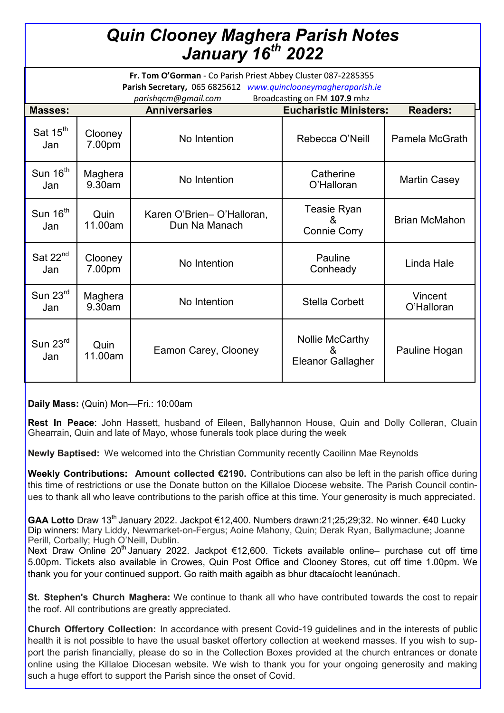## *Quin Clooney Maghera Parish Notes January 16th 2022*

| Fr. Tom O'Gorman - Co Parish Priest Abbey Cluster 087-2285355<br>Parish Secretary, 065 6825612 www.quinclooneymagheraparish.ie |                   |                                            |                                                  |                       |
|--------------------------------------------------------------------------------------------------------------------------------|-------------------|--------------------------------------------|--------------------------------------------------|-----------------------|
| Broadcasting on FM 107.9 mhz<br>parishqcm@qmail.com                                                                            |                   |                                            |                                                  |                       |
| <b>Masses:</b>                                                                                                                 |                   | <b>Anniversaries</b>                       | <b>Eucharistic Ministers:</b>                    | <b>Readers:</b>       |
| Sat 15 <sup>th</sup><br>Jan                                                                                                    | Clooney<br>7.00pm | No Intention                               | Rebecca O'Neill                                  | Pamela McGrath        |
| Sun $16^{\text{th}}$<br>Jan                                                                                                    | Maghera<br>9.30am | No Intention                               | Catherine<br>O'Halloran                          | <b>Martin Casey</b>   |
| Sun 16 <sup>th</sup><br>Jan                                                                                                    | Quin<br>11.00am   | Karen O'Brien-O'Halloran,<br>Dun Na Manach | Teasie Ryan<br>&<br><b>Connie Corry</b>          | <b>Brian McMahon</b>  |
| Sat $22^{nd}$<br>Jan                                                                                                           | Clooney<br>7.00pm | No Intention                               | Pauline<br>Conheady                              | Linda Hale            |
| Sun $23^{\text{rd}}$<br>Jan                                                                                                    | Maghera<br>9.30am | No Intention                               | <b>Stella Corbett</b>                            | Vincent<br>O'Halloran |
| Sun $23^{\text{rd}}$<br>Jan                                                                                                    | Quin<br>11.00am   | Eamon Carey, Clooney                       | Nollie McCarthy<br>8<br><b>Eleanor Gallagher</b> | Pauline Hogan         |

**Daily Mass:** (Quin) Mon—Fri.: 10:00am

**Rest In Peace**: John Hassett, husband of Eileen, Ballyhannon House, Quin and Dolly Colleran, Cluain Ghearrain, Quin and late of Mayo, whose funerals took place during the week

**Newly Baptised:** We welcomed into the Christian Community recently Caoilinn Mae Reynolds

**Weekly Contributions: Amount collected €2190.** Contributions can also be left in the parish office during this time of restrictions or use the Donate button on the Killaloe Diocese website. The Parish Council continues to thank all who leave contributions to the parish office at this time. Your generosity is much appreciated.

GAA Lotto Draw 13<sup>th</sup> January 2022. Jackpot €12,400. Numbers drawn:21:25:29:32. No winner. €40 Lucky Dip winners: Mary Liddy, Newmarket-on-Fergus; Aoine Mahony, Quin; Derak Ryan, Ballymaclune; Joanne Perill, Corbally; Hugh O'Neill, Dublin.

Next Draw Online 20<sup>th</sup> January 2022. Jackpot €12,600. Tickets available online– purchase cut off time 5.00pm. Tickets also available in Crowes, Quin Post Office and Clooney Stores, cut off time 1.00pm. We thank you for your continued support. Go raith maith agaibh as bhur dtacaíocht leanúnach.

**St. Stephen's Church Maghera:** We continue to thank all who have contributed towards the cost to repair the roof. All contributions are greatly appreciated.

**Church Offertory Collection:** In accordance with present Covid-19 guidelines and in the interests of public health it is not possible to have the usual basket offertory collection at weekend masses. If you wish to support the parish financially, please do so in the Collection Boxes provided at the church entrances or donate online using the Killaloe Diocesan website. We wish to thank you for your ongoing generosity and making such a huge effort to support the Parish since the onset of Covid.